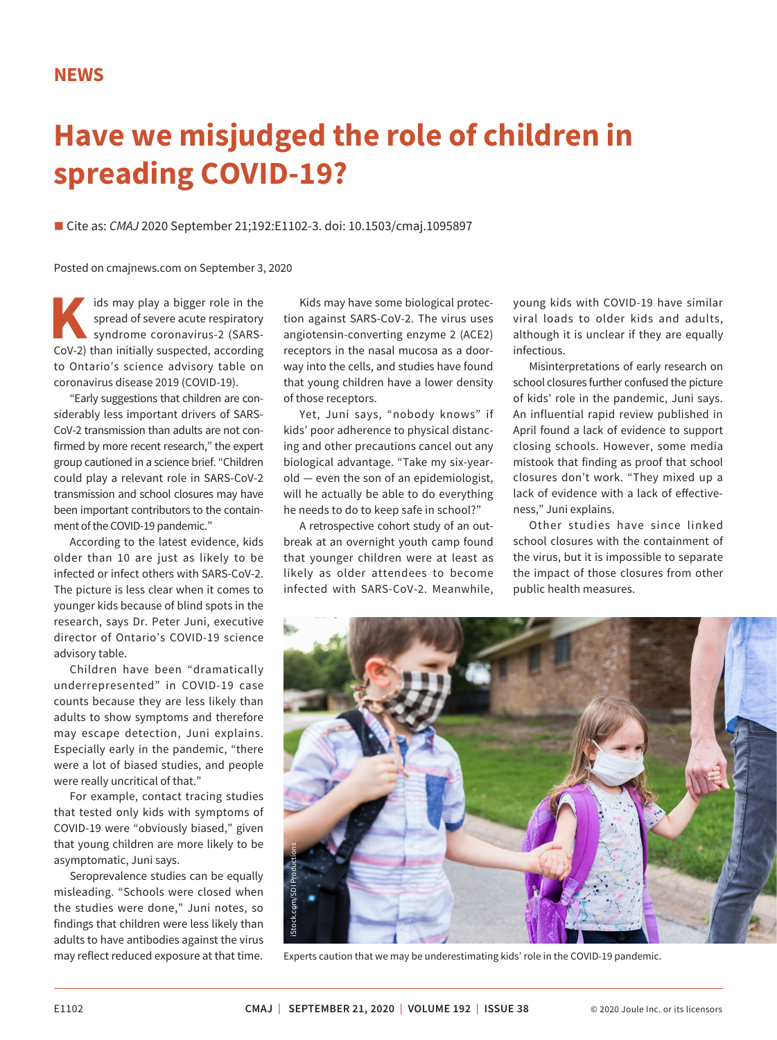## **Have we misjudged the role of children in spreading COVID-19?**

■ Cite as: *CMAJ* 2020 September 21;192:E1102-3. doi: 10.1503/cmaj.1095897

Posted on cmajnews.com on September 3, 2020

**K**ids may play a bigger role in the<br>spread of severe acute respiratory<br>syndrome coronavirus-2 (SARS-<br>CoV-2) than initially suspected according spread of severe acute respiratory syndrome coronavirus-2 (SARS-CoV-2) than initially suspected, according to Ontario's science advisory table on coronavirus disease 2019 (COVID-19).

"Early suggestions that children are considerably less important drivers of SARS-CoV-2 transmission than adults are not confirmed by more recent research," the expert group cautioned in a science brief. "Children could play a relevant role in SARS-CoV-2 transmission and school closures may have been important contributors to the containment of the COVID-19 pandemic."

According to the latest evidence, kids older than 10 are just as likely to be infected or infect others with SARS-CoV-2. The picture is less clear when it comes to younger kids because of blind spots in the research, says Dr. Peter Juni, executive director of Ontario's COVID-19 science advisory table.

Children have been "dramatically underrepresented" in COVID-19 case counts because they are less likely than adults to show symptoms and therefore may escape detection, Juni explains. Especially early in the pandemic, "there were a lot of biased studies, and people were really uncritical of that."

For example, contact tracing studies that tested only kids with symptoms of COVID-19 were "obviously biased," given that young children are more likely to be asymptomatic, Juni says.

Seroprevalence studies can be equally misleading. "Schools were closed when the studies were done," Juni notes, so findings that children were less likely than adults to have antibodies against the virus may reflect reduced exposure at that time.

Kids may have some biological protection against SARS-CoV-2. The virus uses angiotensin-converting enzyme 2 (ACE2) receptors in the nasal mucosa as a doorway into the cells, and studies have found that young children have a lower density of those receptors.

Yet, Juni says, "nobody knows" if kids' poor adherence to physical distancing and other precautions cancel out any biological advantage. "Take my six-yearold — even the son of an epidemiologist, will he actually be able to do everything he needs to do to keep safe in school?"

A retrospective cohort study of an outbreak at an overnight youth camp found that younger children were at least as likely as older attendees to become infected with SARS-CoV-2. Meanwhile,

young kids with COVID-19 have similar viral loads to older kids and adults, although it is unclear if they are equally infectious.

Misinterpretations of early research on school closures further confused the picture of kids' role in the pandemic, Juni says. An influential rapid review published in April found a lack of evidence to support closing schools. However, some media mistook that finding as proof that school closures don't work. "They mixed up a lack of evidence with a lack of effectiveness," Juni explains.

Other studies have since linked school closures with the containment of the virus, but it is impossible to separate the impact of those closures from other public health measures.



Experts caution that we may be underestimating kids' role in the COVID-19 pandemic.